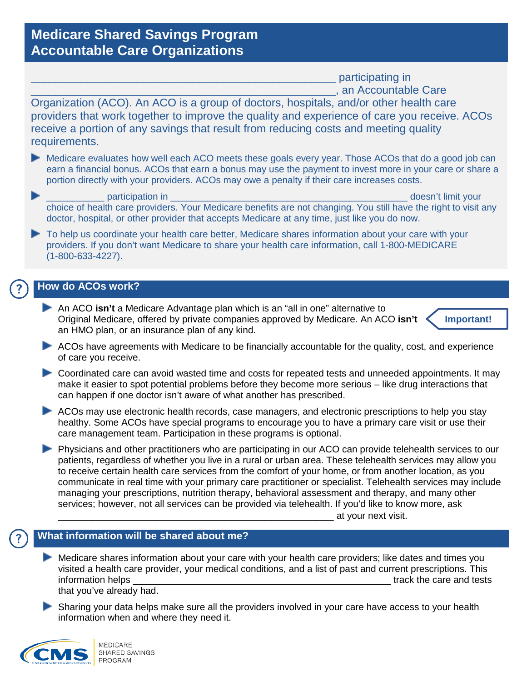# **Medicare Shared Savings Program Accountable Care Organizations**

participating in \_\_\_\_\_\_\_\_\_\_\_\_\_\_\_\_\_\_\_\_\_\_\_\_\_\_\_\_\_\_\_\_\_\_\_\_\_\_\_\_\_\_\_\_\_\_\_\_\_, an Accountable Care

Organization (ACO). An ACO is a group of doctors, hospitals, and/or other health care providers that work together to improve the quality and experience of care you receive. ACOs receive a portion of any savings that result from reducing costs and meeting quality requirements.

- Medicare evaluates how well each ACO meets these goals every year. Those ACOs that do a good job can earn a financial bonus. ACOs that earn a bonus may use the payment to invest more in your care or share a portion directly with your providers. ACOs may owe a penalty if their care increases costs.
- participation in the control of the control of the control of the control of the control of the control of the control of the control of the control of the control of the control of the control of the control of the contro choice of health care providers. Your Medicare benefits are not changing. You still have the right to visit any doctor, hospital, or other provider that accepts Medicare at any time, just like you do now.
- To help us coordinate your health care better, Medicare shares information about your care with your providers. If you don't want Medicare to share your health care information, call 1-800-MEDICARE (1-800-633-4227).

## **How do ACOs work?**

An ACO **isn't** a Medicare Advantage plan which is an "all in one" alternative to Original Medicare, offered by private companies approved by Medicare. An ACO **isn't** an HMO plan, or an insurance plan of any kind.



- ACOs have agreements with Medicare to be financially accountable for the quality, cost, and experience of care you receive.
- Coordinated care can avoid wasted time and costs for repeated tests and unneeded appointments. It may make it easier to spot potential problems before they become more serious – like drug interactions that can happen if one doctor isn't aware of what another has prescribed.
- ACOs may use electronic health records, case managers, and electronic prescriptions to help you stay healthy. Some ACOs have special programs to encourage you to have a primary care visit or use their care management team. Participation in these programs is optional.
- **Physicians and other practitioners who are participating in our ACO can provide telehealth services to our** patients, regardless of whether you live in a rural or urban area. These telehealth services may allow you to receive certain health care services from the comfort of your home, or from another location, as you communicate in real time with your primary care practitioner or specialist. Telehealth services may include managing your prescriptions, nutrition therapy, behavioral assessment and therapy, and many other services; however, not all services can be provided via telehealth. If you'd like to know more, ask

\_\_\_\_\_\_\_\_\_\_\_\_\_\_\_\_\_\_\_\_\_\_\_\_\_\_\_\_\_\_\_\_\_\_\_\_\_\_\_\_\_\_\_\_\_\_\_\_ at your next visit.

## **What information will be shared about me?**

- Medicare shares information about your care with your health care providers; like dates and times you visited a health care provider, your medical conditions, and a list of past and current prescriptions. This information helps  $\overline{a}$  is a set of the care and tests  $\overline{a}$  track the care and tests that you've already had.
- Sharing your data helps make sure all the providers involved in your care have access to your health information when and where they need it.